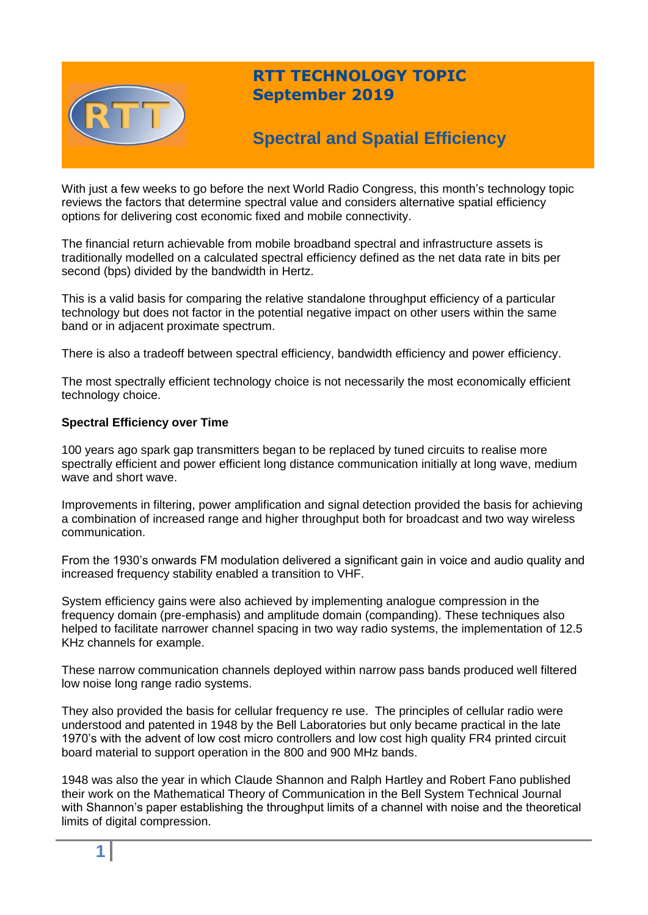

## **RTT TECHNOLOGY TOPIC September 2019**

# **Spectral and Spatial Efficiency**

With just a few weeks to go before the next World Radio Congress, this month's technology topic reviews the factors that determine spectral value and considers alternative spatial efficiency options for delivering cost economic fixed and mobile connectivity.

The financial return achievable from mobile broadband spectral and infrastructure assets is traditionally modelled on a calculated spectral efficiency defined as the net data rate in bits per second (bps) divided by the bandwidth in Hertz.

This is a valid basis for comparing the relative standalone throughput efficiency of a particular technology but does not factor in the potential negative impact on other users within the same band or in adjacent proximate spectrum.

There is also a tradeoff between spectral efficiency, bandwidth efficiency and power efficiency.

The most spectrally efficient technology choice is not necessarily the most economically efficient technology choice.

### **Spectral Efficiency over Time**

100 years ago spark gap transmitters began to be replaced by tuned circuits to realise more spectrally efficient and power efficient long distance communication initially at long wave, medium wave and short wave.

Improvements in filtering, power amplification and signal detection provided the basis for achieving a combination of increased range and higher throughput both for broadcast and two way wireless communication.

From the 1930's onwards FM modulation delivered a significant gain in voice and audio quality and increased frequency stability enabled a transition to VHF.

System efficiency gains were also achieved by implementing analogue compression in the frequency domain (pre-emphasis) and amplitude domain (companding). These techniques also helped to facilitate narrower channel spacing in two way radio systems, the implementation of 12.5 KHz channels for example.

These narrow communication channels deployed within narrow pass bands produced well filtered low noise long range radio systems.

They also provided the basis for cellular frequency re use. The principles of cellular radio were understood and patented in 1948 by the Bell Laboratories but only became practical in the late 1970's with the advent of low cost micro controllers and low cost high quality FR4 printed circuit board material to support operation in the 800 and 900 MHz bands.

1948 was also the year in which Claude Shannon and Ralph Hartley and Robert Fano published their work on the Mathematical Theory of Communication in the Bell System Technical Journal with Shannon's paper establishing the throughput limits of a channel with noise and the theoretical limits of digital compression.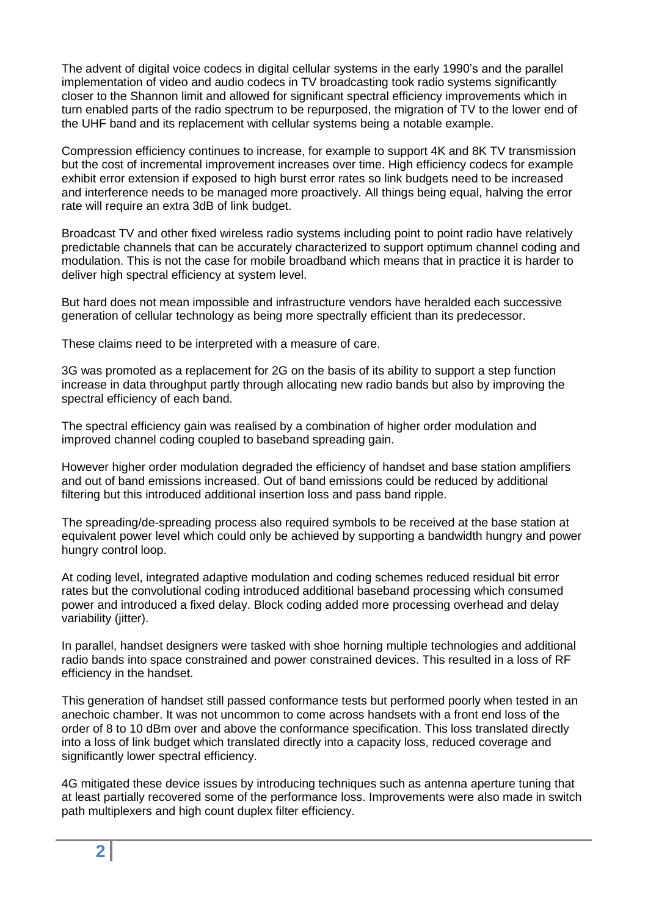The advent of digital voice codecs in digital cellular systems in the early 1990's and the parallel implementation of video and audio codecs in TV broadcasting took radio systems significantly closer to the Shannon limit and allowed for significant spectral efficiency improvements which in turn enabled parts of the radio spectrum to be repurposed, the migration of TV to the lower end of the UHF band and its replacement with cellular systems being a notable example.

Compression efficiency continues to increase, for example to support 4K and 8K TV transmission but the cost of incremental improvement increases over time. High efficiency codecs for example exhibit error extension if exposed to high burst error rates so link budgets need to be increased and interference needs to be managed more proactively. All things being equal, halving the error rate will require an extra 3dB of link budget.

Broadcast TV and other fixed wireless radio systems including point to point radio have relatively predictable channels that can be accurately characterized to support optimum channel coding and modulation. This is not the case for mobile broadband which means that in practice it is harder to deliver high spectral efficiency at system level.

But hard does not mean impossible and infrastructure vendors have heralded each successive generation of cellular technology as being more spectrally efficient than its predecessor.

These claims need to be interpreted with a measure of care.

3G was promoted as a replacement for 2G on the basis of its ability to support a step function increase in data throughput partly through allocating new radio bands but also by improving the spectral efficiency of each band.

The spectral efficiency gain was realised by a combination of higher order modulation and improved channel coding coupled to baseband spreading gain.

However higher order modulation degraded the efficiency of handset and base station amplifiers and out of band emissions increased. Out of band emissions could be reduced by additional filtering but this introduced additional insertion loss and pass band ripple.

The spreading/de-spreading process also required symbols to be received at the base station at equivalent power level which could only be achieved by supporting a bandwidth hungry and power hungry control loop.

At coding level, integrated adaptive modulation and coding schemes reduced residual bit error rates but the convolutional coding introduced additional baseband processing which consumed power and introduced a fixed delay. Block coding added more processing overhead and delay variability (iitter).

In parallel, handset designers were tasked with shoe horning multiple technologies and additional radio bands into space constrained and power constrained devices. This resulted in a loss of RF efficiency in the handset.

This generation of handset still passed conformance tests but performed poorly when tested in an anechoic chamber. It was not uncommon to come across handsets with a front end loss of the order of 8 to 10 dBm over and above the conformance specification. This loss translated directly into a loss of link budget which translated directly into a capacity loss, reduced coverage and significantly lower spectral efficiency.

4G mitigated these device issues by introducing techniques such as antenna aperture tuning that at least partially recovered some of the performance loss. Improvements were also made in switch path multiplexers and high count duplex filter efficiency.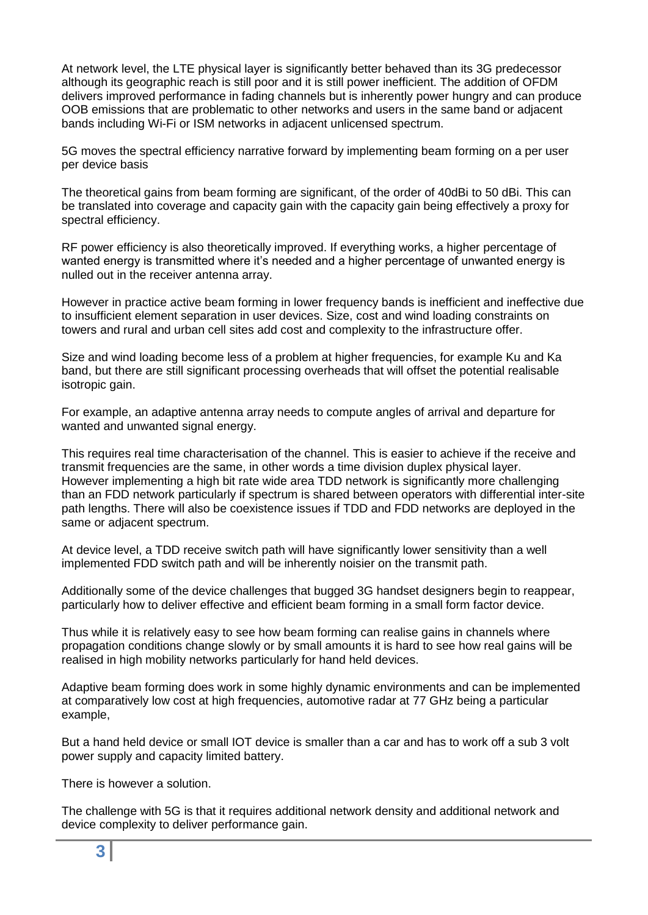At network level, the LTE physical layer is significantly better behaved than its 3G predecessor although its geographic reach is still poor and it is still power inefficient. The addition of OFDM delivers improved performance in fading channels but is inherently power hungry and can produce OOB emissions that are problematic to other networks and users in the same band or adjacent bands including Wi-Fi or ISM networks in adjacent unlicensed spectrum.

5G moves the spectral efficiency narrative forward by implementing beam forming on a per user per device basis

The theoretical gains from beam forming are significant, of the order of 40dBi to 50 dBi. This can be translated into coverage and capacity gain with the capacity gain being effectively a proxy for spectral efficiency.

RF power efficiency is also theoretically improved. If everything works, a higher percentage of wanted energy is transmitted where it's needed and a higher percentage of unwanted energy is nulled out in the receiver antenna array.

However in practice active beam forming in lower frequency bands is inefficient and ineffective due to insufficient element separation in user devices. Size, cost and wind loading constraints on towers and rural and urban cell sites add cost and complexity to the infrastructure offer.

Size and wind loading become less of a problem at higher frequencies, for example Ku and Ka band, but there are still significant processing overheads that will offset the potential realisable isotropic gain.

For example, an adaptive antenna array needs to compute angles of arrival and departure for wanted and unwanted signal energy.

This requires real time characterisation of the channel. This is easier to achieve if the receive and transmit frequencies are the same, in other words a time division duplex physical layer. However implementing a high bit rate wide area TDD network is significantly more challenging than an FDD network particularly if spectrum is shared between operators with differential inter-site path lengths. There will also be coexistence issues if TDD and FDD networks are deployed in the same or adjacent spectrum.

At device level, a TDD receive switch path will have significantly lower sensitivity than a well implemented FDD switch path and will be inherently noisier on the transmit path.

Additionally some of the device challenges that bugged 3G handset designers begin to reappear, particularly how to deliver effective and efficient beam forming in a small form factor device.

Thus while it is relatively easy to see how beam forming can realise gains in channels where propagation conditions change slowly or by small amounts it is hard to see how real gains will be realised in high mobility networks particularly for hand held devices.

Adaptive beam forming does work in some highly dynamic environments and can be implemented at comparatively low cost at high frequencies, automotive radar at 77 GHz being a particular example,

But a hand held device or small IOT device is smaller than a car and has to work off a sub 3 volt power supply and capacity limited battery.

There is however a solution.

The challenge with 5G is that it requires additional network density and additional network and device complexity to deliver performance gain.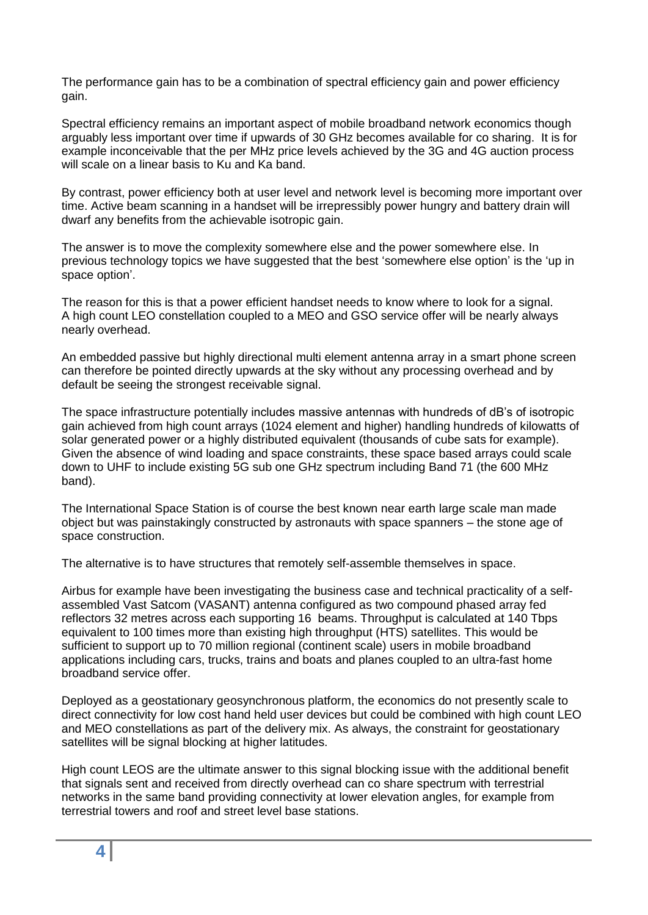The performance gain has to be a combination of spectral efficiency gain and power efficiency gain.

Spectral efficiency remains an important aspect of mobile broadband network economics though arguably less important over time if upwards of 30 GHz becomes available for co sharing. It is for example inconceivable that the per MHz price levels achieved by the 3G and 4G auction process will scale on a linear basis to Ku and Ka band.

By contrast, power efficiency both at user level and network level is becoming more important over time. Active beam scanning in a handset will be irrepressibly power hungry and battery drain will dwarf any benefits from the achievable isotropic gain.

The answer is to move the complexity somewhere else and the power somewhere else. In previous technology topics we have suggested that the best 'somewhere else option' is the 'up in space option'.

The reason for this is that a power efficient handset needs to know where to look for a signal. A high count LEO constellation coupled to a MEO and GSO service offer will be nearly always nearly overhead.

An embedded passive but highly directional multi element antenna array in a smart phone screen can therefore be pointed directly upwards at the sky without any processing overhead and by default be seeing the strongest receivable signal.

The space infrastructure potentially includes massive antennas with hundreds of dB's of isotropic gain achieved from high count arrays (1024 element and higher) handling hundreds of kilowatts of solar generated power or a highly distributed equivalent (thousands of cube sats for example). Given the absence of wind loading and space constraints, these space based arrays could scale down to UHF to include existing 5G sub one GHz spectrum including Band 71 (the 600 MHz band).

The International Space Station is of course the best known near earth large scale man made object but was painstakingly constructed by astronauts with space spanners – the stone age of space construction.

The alternative is to have structures that remotely self-assemble themselves in space.

Airbus for example have been investigating the business case and technical practicality of a selfassembled Vast Satcom (VASANT) antenna configured as two compound phased array fed reflectors 32 metres across each supporting 16 beams. Throughput is calculated at 140 Tbps equivalent to 100 times more than existing high throughput (HTS) satellites. This would be sufficient to support up to 70 million regional (continent scale) users in mobile broadband applications including cars, trucks, trains and boats and planes coupled to an ultra-fast home broadband service offer.

Deployed as a geostationary geosynchronous platform, the economics do not presently scale to direct connectivity for low cost hand held user devices but could be combined with high count LEO and MEO constellations as part of the delivery mix. As always, the constraint for geostationary satellites will be signal blocking at higher latitudes.

High count LEOS are the ultimate answer to this signal blocking issue with the additional benefit that signals sent and received from directly overhead can co share spectrum with terrestrial networks in the same band providing connectivity at lower elevation angles, for example from terrestrial towers and roof and street level base stations.